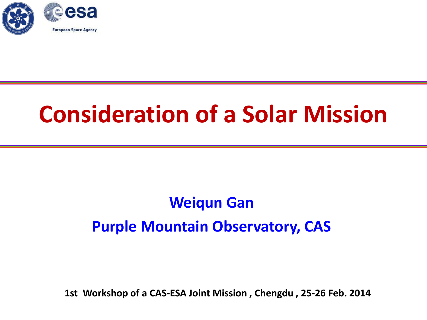

# **Consideration of a Solar Mission**

#### **Weiqun Gan Purple Mountain Observatory, CAS**

**1st Workshop of a CAS-ESA Joint Mission , Chengdu , 25-26 Feb. 2014**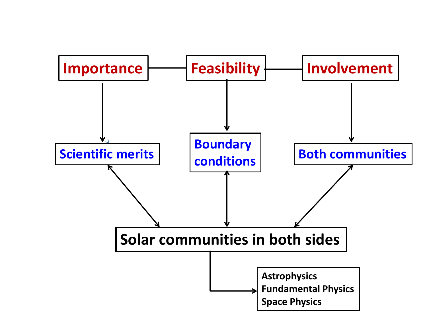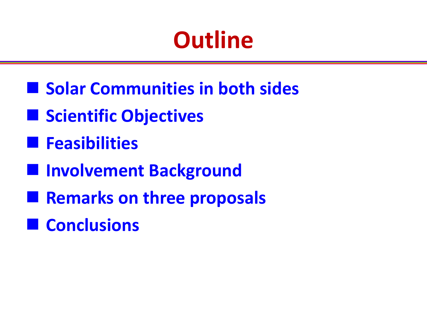# **Outline**

- Solar Communities in both sides
- $\blacksquare$  **Scientific Objectives**
- **Feasibilities**
- $\blacksquare$  **Involvement Background**
- **Remarks on three proposals**
- **Conclusions**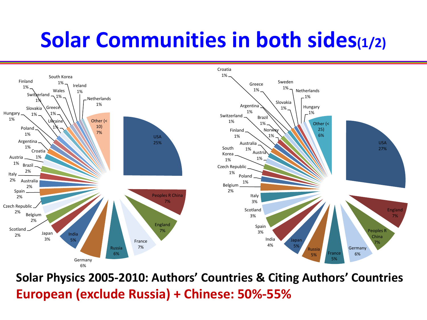### **Solar Communities in both sides(1/2)**



**Solar Physics 2005-2010: Authors' Countries & Citing Authors' Countries European (exclude Russia) + Chinese: 50%-55%**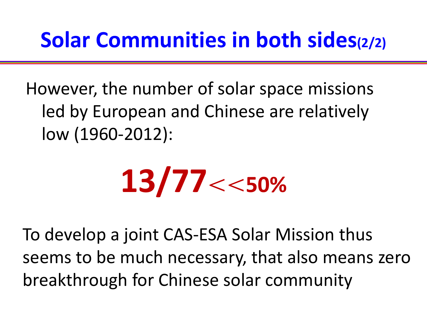### **Solar Communities in both sides(2/2)**

However, the number of solar space missions led by European and Chinese are relatively low (1960-2012):

$$
13/77\!<\!<\!50\%
$$

To develop a joint CAS-ESA Solar Mission thus seems to be much necessary, that also means zero breakthrough for Chinese solar community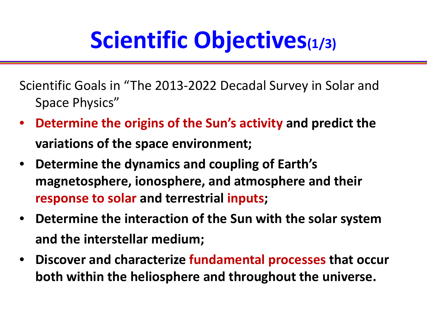# **Scientific Objectives(1/3)**

Scientific Goals in "The 2013-2022 Decadal Survey in Solar and Space Physics"

- **Determine the origins of the Sun's activity and predict the variations of the space environment;**
- **Determine the dynamics and coupling of Earth's magnetosphere, ionosphere, and atmosphere and their response to solar and terrestrial inputs;**
- **Determine the interaction of the Sun with the solar system and the interstellar medium;**
- **Discover and characterize fundamental processes that occur both within the heliosphere and throughout the universe.**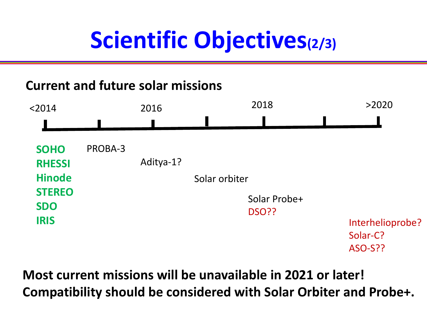# **Scientific Objectives(2/3)**

#### **Current and future solar missions**



**Most current missions will be unavailable in 2021 or later! Compatibility should be considered with Solar Orbiter and Probe+.**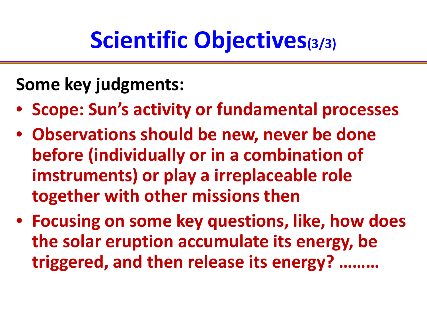# **Scientific Objectives(3/3)**

### **Some key judgments:**

- **Scope: Sun's activity or fundamental processes**
- **Observations should be new, never be done before (individually or in a combination of imstruments) or play a irreplaceable role together with other missions then**
- **Focusing on some key questions, like, how does the solar eruption accumulate its energy, be triggered, and then release its energy? ………**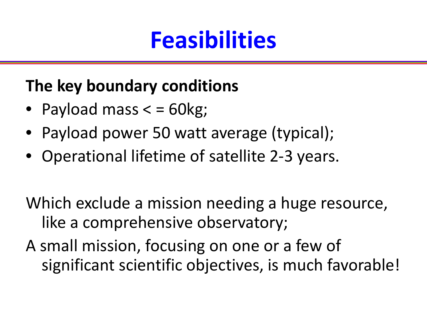## **Feasibilities**

#### **The key boundary conditions**

- Payload mass  $\epsilon$  = 60kg;
- Payload power 50 watt average (typical);
- Operational lifetime of satellite 2-3 years.

Which exclude a mission needing a huge resource, like a comprehensive observatory;

A small mission, focusing on one or a few of significant scientific objectives, is much favorable!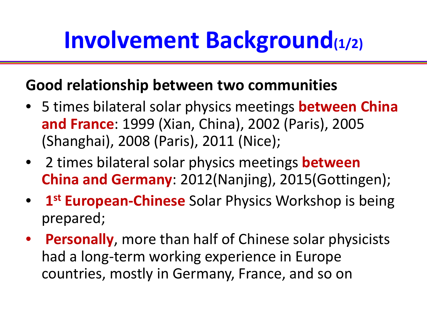# **Involvement Background(1/2)**

#### **Good relationship between two communities**

- 5 times bilateral solar physics meetings **between China and France**: 1999 (Xian, China), 2002 (Paris), 2005 (Shanghai), 2008 (Paris), 2011 (Nice);
- 2 times bilateral solar physics meetings **between China and Germany**: 2012(Nanjing), 2015(Gottingen);
- 1<sup>st</sup> **European-Chinese** Solar Physics Workshop is being prepared;
- **Personally**, more than half of Chinese solar physicists had a long-term working experience in Europe countries, mostly in Germany, France, and so on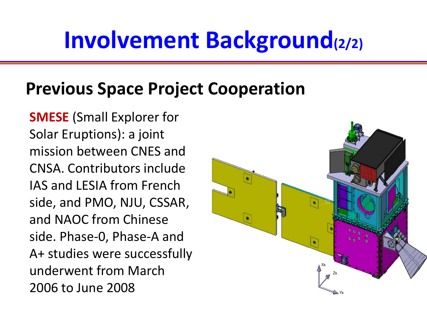# **Involvement Background(2/2)**

#### **Previous Space Project Cooperation**

 **SMESE** (Small Explorer for Solar Eruptions): a joint mission between CNES and CNSA. Contributors include IAS and LESIA from French side, and PMO, NJU, CSSAR, and NAOC from Chinese side. Phase-0, Phase-A and A+ studies were successfully underwent from March 2006 to June 2008

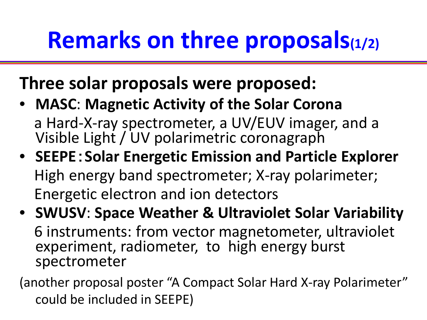# **Remarks on three proposals(1/2)**

### **Three solar proposals were proposed:**

- **MASC**: **Magnetic Activity of the Solar Corona** a Hard-X-ray spectrometer, a UV/EUV imager, and a Visible Light / UV polarimetric coronagraph
- **SEEPE**:**Solar Energetic Emission and Particle Explorer**  High energy band spectrometer; X-ray polarimeter; Energetic electron and ion detectors
- **SWUSV**: **Space Weather & Ultraviolet Solar Variability** 6 instruments: from vector magnetometer, ultraviolet experiment, radiometer, to high energy burst spectrometer

(another proposal poster "A Compact Solar Hard X-ray Polarimeter" could be included in SEEPE)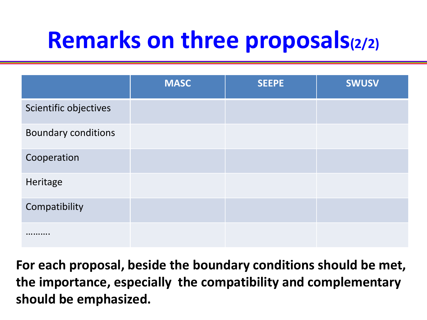# **Remarks on three proposals(2/2)**

|                            | <b>MASC</b> | <b>SEEPE</b> | <b>SWUSV</b> |
|----------------------------|-------------|--------------|--------------|
| Scientific objectives      |             |              |              |
| <b>Boundary conditions</b> |             |              |              |
| Cooperation                |             |              |              |
| Heritage                   |             |              |              |
| Compatibility              |             |              |              |
| .                          |             |              |              |

**For each proposal, beside the boundary conditions should be met, the importance, especially the compatibility and complementary should be emphasized.**